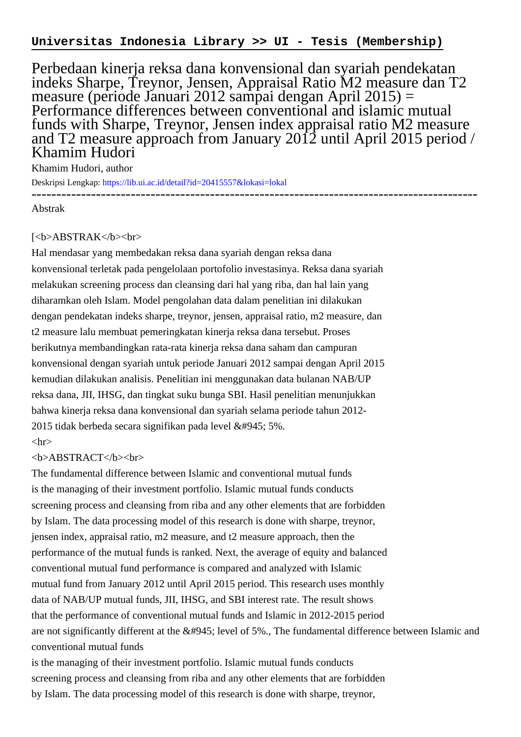Perbedaan kinerja reksa dana konvensional dan syariah pendekatan indeks Sharpe, Treynor, Jensen, Appraisal Ratio M2 measure dan T2 measure (periode Januari 2012 sampai dengan April 2015) = Performance differences between conventional and islamic mutual funds with Sharpe, Treynor, Jensen index appraisal ratio M2 measure and T2 measure approach from January 2012 until April 2015 period / Khamim Hudori

Khamim Hudori, author

Deskripsi Lengkap:<https://lib.ui.ac.id/detail?id=20415557&lokasi=lokal> ------------------------------------------------------------------------------------------

Abstrak

## [<b>ABSTRAK</b><br/>shr>

Hal mendasar yang membedakan reksa dana syariah dengan reksa dana konvensional terletak pada pengelolaan portofolio investasinya. Reksa dana syariah melakukan screening process dan cleansing dari hal yang riba, dan hal lain yang diharamkan oleh Islam. Model pengolahan data dalam penelitian ini dilakukan dengan pendekatan indeks sharpe, treynor, jensen, appraisal ratio, m2 measure, dan t2 measure lalu membuat pemeringkatan kinerja reksa dana tersebut. Proses berikutnya membandingkan rata-rata kinerja reksa dana saham dan campuran konvensional dengan syariah untuk periode Januari 2012 sampai dengan April 2015 kemudian dilakukan analisis. Penelitian ini menggunakan data bulanan NAB/UP reksa dana, JII, IHSG, dan tingkat suku bunga SBI. Hasil penelitian menunjukkan bahwa kinerja reksa dana konvensional dan syariah selama periode tahun 2012- 2015 tidak berbeda secara signifikan pada level α 5%.

## $\langle$ hr $>$

## <b>ABSTRACT</b><br>

The fundamental difference between Islamic and conventional mutual funds is the managing of their investment portfolio. Islamic mutual funds conducts screening process and cleansing from riba and any other elements that are forbidden by Islam. The data processing model of this research is done with sharpe, treynor, jensen index, appraisal ratio, m2 measure, and t2 measure approach, then the performance of the mutual funds is ranked. Next, the average of equity and balanced conventional mutual fund performance is compared and analyzed with Islamic mutual fund from January 2012 until April 2015 period. This research uses monthly data of NAB/UP mutual funds, JII, IHSG, and SBI interest rate. The result shows that the performance of conventional mutual funds and Islamic in 2012-2015 period are not significantly different at the  $&\#945$ ; level of 5%., The fundamental difference between Islamic and conventional mutual funds

is the managing of their investment portfolio. Islamic mutual funds conducts screening process and cleansing from riba and any other elements that are forbidden by Islam. The data processing model of this research is done with sharpe, treynor,